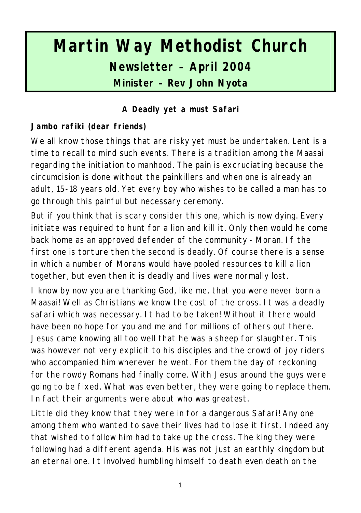# **Martin Way Methodist Church Newsletter – April 2004 Minister – Rev John Nyota**

## **A Deadly yet a must Safari**

#### **Jambo rafiki (dear friends)**

We all know those things that are risky yet must be undertaken. Lent is a time to recall to mind such events. There is a tradition among the Maasai regarding the initiation to manhood. The pain is excruciating because the circumcision is done without the painkillers and when one is already an adult, 15-18 years old. Yet every boy who wishes to be called a man has to go through this painful but necessary ceremony.

But if you think that is scary consider this one, which is now dying. Every initiate was required to hunt for a lion and kill it. Only then would he come back home as an approved defender of the community - Moran. If the first one is torture then the second is deadly. Of course there is a sense in which a number of Morans would have pooled resources to kill a lion together, but even then it is deadly and lives were normally lost.

I know by now you are thanking God, like me, that you were never born a Maasai! Well as Christians we know the cost of the cross. It was a deadly safari which was necessary. It had to be taken! Without it there would have been no hope for you and me and for millions of others out there. Jesus came knowing all too well that he was a sheep for slaughter. This was however not very explicit to his disciples and the crowd of joy riders who accompanied him wherever he went. For them the day of reckoning for the rowdy Romans had finally come. With Jesus around the guys were going to be fixed. What was even better, they were going to replace them. In fact their arguments were about who was greatest.

Little did they know that they were in for a dangerous Safari! Any one among them who wanted to save their lives had to lose it first. Indeed any that wished to follow him had to take up the cross. The king they were following had a different agenda. His was not just an earthly kingdom but an eternal one. It involved humbling himself to death even death on the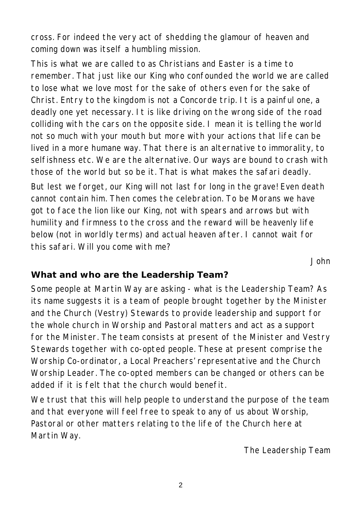cross. For indeed the very act of shedding the glamour of heaven and coming down was itself a humbling mission.

This is what we are called to as Christians and Easter is a time to remember. That just like our King who confounded the world we are called to lose what we love most for the sake of others even for the sake of Christ. Entry to the kingdom is not a Concorde trip. It is a painful one, a deadly one yet necessary. It is like driving on the wrong side of the road colliding with the cars on the opposite side. I mean it is telling the world not so much with your mouth but more with your actions that life can be lived in a more humane way. That there is an alternative to immorality, to selfishness etc. We are the alternative. Our ways are bound to crash with those of the world but so be it. That is what makes the safari deadly.

But lest we forget, our King will not last for long in the grave! Even death cannot contain him. Then comes the celebration. To be Morans we have got to face the lion like our King, not with spears and arrows but with humility and firmness to the cross and the reward will be heavenly life below (not in worldly terms) and actual heaven after. I cannot wait for this safari. Will you come with me?

*John*

#### **What and who are the Leadership Team?**

Some people at Martin Way are asking - what is the Leadership Team? As its name suggests it is a team of people brought together by the Minister and the Church (Vestry) Stewards to provide leadership and support for the whole church in Worship and Pastoral matters and act as a support for the Minister. The team consists at present of the Minister and Vestry Stewards together with co-opted people. These at present comprise the Worship Co-ordinator, a Local Preachers' representative and the Church Worship Leader. The co-opted members can be changed or others can be added if it is felt that the church would benefit.

We trust that this will help people to understand the purpose of the team and that everyone will feel free to speak to any of us about Worship, Pastoral or other matters relating to the life of the Church here at Martin Way.

*The Leadership Team*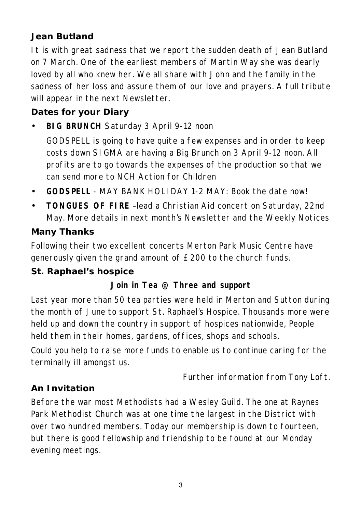## **Jean Butland**

It is with great sadness that we report the sudden death of Jean Butland on 7 March. One of the earliest members of Martin Way she was dearly loved by all who knew her. We all share with John and the family in the sadness of her loss and assure them of our love and prayers. A full tribute will appear in the next Newsletter.

## **Dates for your Diary**

• **BIG BRUNCH** Saturday 3 April 9-12 noon

GODSPELL is going to have quite a few expenses and in order to keep costs down SIGMA are having a Big Brunch on 3 April 9-12 noon. All profits are to go towards the expenses of the production so that we can send more to NCH Action for Children

- **GODSPELL** MAY BANK HOLIDAY 1-2 MAY: Book the date now!
- **TONGUES OF FIRE** –lead a Christian Aid concert on Saturday, 22nd May. More details in next month's Newsletter and the Weekly Notices

#### **Many Thanks**

Following their two excellent concerts Merton Park Music Centre have generously given the grand amount of £200 to the church funds.

#### **St. Raphael's hospice**

#### **Join in Tea @ Three and support**

Last year more than 50 tea parties were held in Merton and Sutton during the month of June to support St. Raphael's Hospice. Thousands more were held up and down the country in support of hospices nationwide, People held them in their homes, gardens, offices, shops and schools.

Could you help to raise more funds to enable us to continue caring for the terminally ill amongst us.

*Further information from Tony Loft.*

#### **An Invitation**

Before the war most Methodists had a Wesley Guild. The one at Raynes Park Methodist Church was at one time the largest in the District with over two hundred members. Today our membership is down to fourteen, but there is good fellowship and friendship to be found at our Monday evening meetings.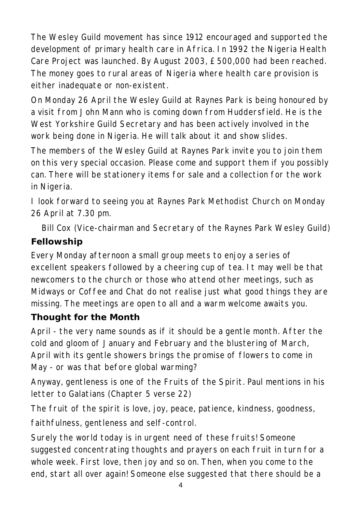The Wesley Guild movement has since 1912 encouraged and supported the development of primary health care in Africa. In 1992 the Nigeria Health Care Project was launched. By August 2003, £500,000 had been reached. The money goes to rural areas of Nigeria where health care provision is either inadequate or non-existent.

On Monday 26 April the Wesley Guild at Raynes Park is being honoured by a visit from John Mann who is coming down from Huddersfield. He is the West Yorkshire Guild Secretary and has been actively involved in the work being done in Nigeria. He will talk about it and show slides.

The members of the Wesley Guild at Raynes Park invite you to join them on this very special occasion. Please come and support them if you possibly can. There will be stationery items for sale and a collection for the work in Nigeria.

I look forward to seeing you at Raynes Park Methodist Church on Monday 26 April at 7.30 pm.

*Bill Cox (Vice-chairman and Secretary of the Raynes Park Wesley Guild)*

# **Fellowship**

Every Monday afternoon a small group meets to enjoy a series of excellent speakers followed by a cheering cup of tea. It may well be that newcomers to the church or those who attend other meetings, such as Midways or Coffee and Chat do not realise just what good things they are missing. The meetings are open to all and a warm welcome awaits you.

## **Thought for the Month**

April - the very name sounds as if it should be a gentle month. After the cold and gloom of January and February and the blustering of March, April with its gentle showers brings the promise of flowers to come in May - or was that before global warming?

Anyway, gentleness is one of the Fruits of the Spirit. Paul mentions in his letter to Galatians (Chapter 5 verse 22)

The fruit of the spirit is love, joy, peace, patience, kindness, goodness, faithfulness, gentleness and self-control.

Surely the world today is in urgent need of these fruits! Someone suggested concentrating thoughts and prayers on each fruit in turn for a whole week. First love, then joy and so on. Then, when you come to the end, start all over again! Someone else suggested that there should be a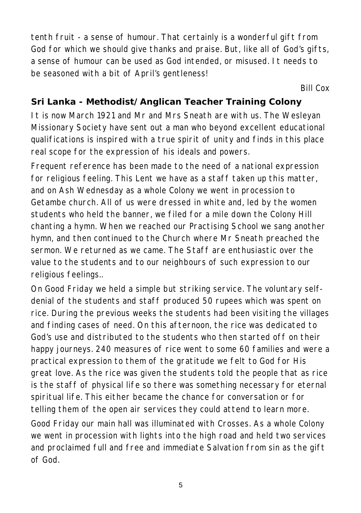tenth fruit - a sense of humour. That certainly is a wonderful gift from God for which we should give thanks and praise. But, like all of God's gifts, a sense of humour can be used as God intended, or misused. It needs to be seasoned with a bit of April's gentleness!

*Bill Cox*

#### **Sri Lanka - Methodist/Anglican Teacher Training Colony**

It is now March 1921 and Mr and Mrs Sneath are with us. The Wesleyan Missionary Society have sent out a man who beyond excellent educational qualifications is inspired with a true spirit of unity and finds in this place real scope for the expression of his ideals and powers.

Frequent reference has been made to the need of a national expression for religious feeling. This Lent we have as a staff taken up this matter, and on Ash Wednesday as a whole Colony we went in procession to Getambe church. All of us were dressed in white and, led by the women students who held the banner, we filed for a mile down the Colony Hill chanting a hymn. When we reached our Practising School we sang another hymn, and then continued to the Church where Mr Sneath preached the sermon. We returned as we came. The Staff are enthusiastic over the value to the students and to our neighbours of such expression to our religious feelings..

On Good Friday we held a simple but striking service. The voluntary selfdenial of the students and staff produced 50 rupees which was spent on rice. During the previous weeks the students had been visiting the villages and finding cases of need. On this afternoon, the rice was dedicated to God's use and distributed to the students who then started off on their happy journeys. 240 measures of rice went to some 60 families and were a practical expression to them of the gratitude we felt to God for His great love. As the rice was given the students told the people that as rice is the staff of physical life so there was something necessary for eternal spiritual life. This either became the chance for conversation or for telling them of the open air services they could attend to learn more. Good Friday our main hall was illuminated with Crosses. As a whole Colony we went in procession with lights into the high road and held two services and proclaimed full and free and immediate Salvation from sin as the gift of God.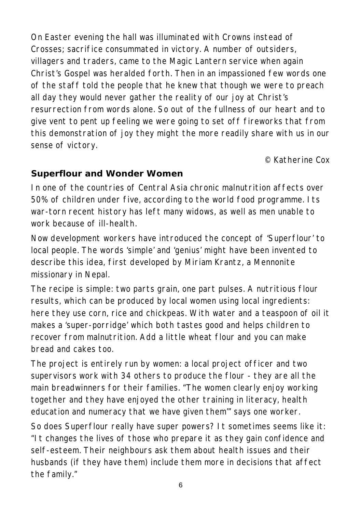On Easter evening the hall was illuminated with Crowns instead of Crosses; sacrifice consummated in victory. A number of outsiders, villagers and traders, came to the Magic Lantern service when again Christ's Gospel was heralded forth. Then in an impassioned few words one of the staff told the people that he knew that though we were to preach all day they would never gather the reality of our joy at Christ's resurrection from words alone. So out of the fullness of our heart and to give vent to pent up feeling we were going to set off fireworks that from this demonstration of joy they might the more readily share with us in our sense of victory.

*© Katherine Cox*

## **Superflour and Wonder Women**

In one of the countries of Central Asia chronic malnutrition affects over 50% of children under five, according to the world food programme. Its war-torn recent history has left many widows, as well as men unable to work because of ill-health.

Now development workers have introduced the concept of 'Superflour' to local people. The words 'simple' and 'genius' might have been invented to describe this idea, first developed by Miriam Krantz, a Mennonite missionary in Nepal.

The recipe is simple: two parts grain, one part pulses. A nutritious flour results, which can be produced by local women using local ingredients: here they use corn, rice and chickpeas. With water and a teaspoon of oil it makes a 'super-porridge' which both tastes good and helps children to recover from malnutrition. Add a little wheat flour and you can make bread and cakes too.

The project is entirely run by women: a local project officer and two supervisors work with 34 others to produce the flour - they are all the main breadwinners for their families. "The women clearly enjoy working together and they have enjoyed the other training in literacy, health education and numeracy that we have given them'" says one worker.

So does Superflour really have super powers? It sometimes seems like it: "It changes the lives of those who prepare it as they gain confidence and self-esteem. Their neighbours ask them about health issues and their husbands (if they have them) include them more in decisions that affect the family."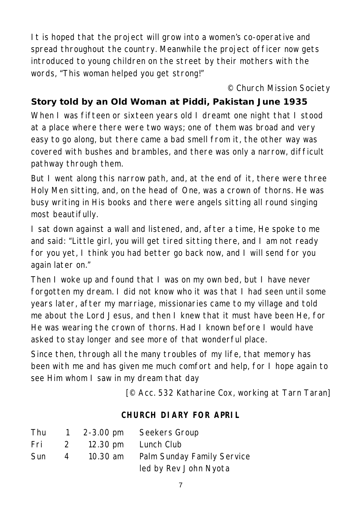It is hoped that the project will grow into a women's co-operative and spread throughout the country. Meanwhile the project officer now gets introduced to young children on the street by their mothers with the words, "This woman helped you get strong!"

#### *© Church Mission Society*

# **Story told by an Old Woman at Piddi, Pakistan June 1935**

When I was fifteen or sixteen years old I dreamt one night that I stood at a place where there were two ways; one of them was broad and very easy to go along, but there came a bad smell from it, the other way was covered with bushes and brambles, and there was only a narrow, difficult pathway through them.

But I went along this narrow path, and, at the end of it, there were three Holy Men sitting, and, on the head of One, was a crown of thorns. He was busy writing in His books and there were angels sitting all round singing most beautifully.

I sat down against a wall and listened, and, after a time, He spoke to me and said: "Little girl, you will get tired sitting there, and I am not ready for you yet, I think you had better go back now, and I will send for you again later on."

Then I woke up and found that I was on my own bed, but I have never forgotten my dream. I did not know who it was that I had seen until some years later, after my marriage, missionaries came to my village and told me about the Lord Jesus, and then I knew that it must have been He, for He was wearing the crown of thorns. Had I known before I would have asked to stay longer and see more of that wonderful place.

Since then, through all the many troubles of my life, that memory has been with me and has given me much comfort and help, for I hope again to see Him whom I saw in my dream that day

*[© Acc. 532 Katharine Cox, working at Tarn Taran]*

#### **CHURCH DIARY FOR APRIL**

| <b>Thu</b> |               | 1 $2 - 3.00 \text{ pm}$ | Seekers Group              |
|------------|---------------|-------------------------|----------------------------|
| Fri        | $\mathcal{P}$ |                         | 12.30 pm Lunch Club        |
| <b>Sun</b> | 4             | 10.30 am                | Palm Sunday Family Service |
|            |               |                         | led by Rev John Nyota      |